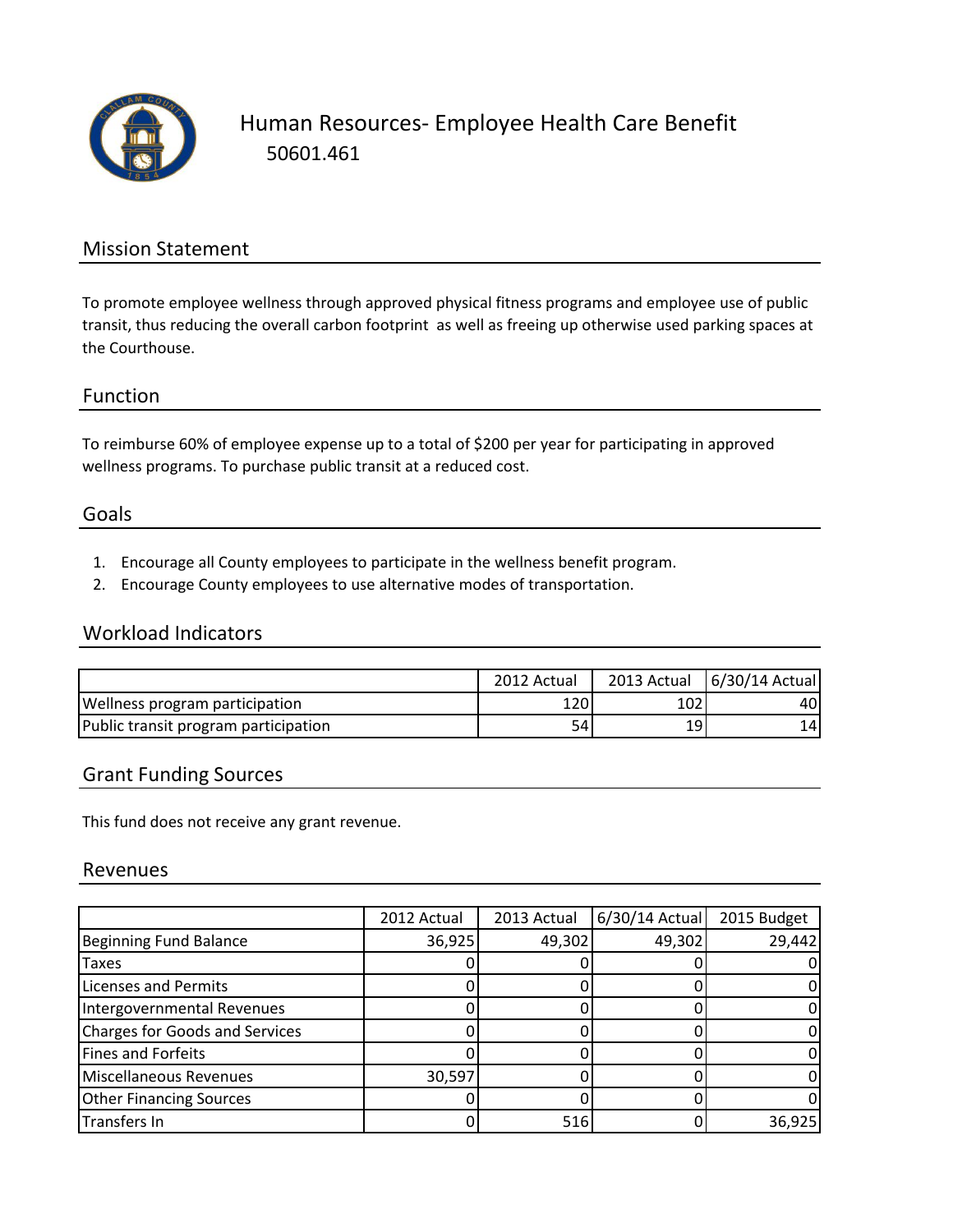

### Mission Statement

To promote employee wellness through approved physical fitness programs and employee use of public transit, thus reducing the overall carbon footprint as well as freeing up otherwise used parking spaces at the Courthouse.

#### Function

To reimburse 60% of employee expense up to a total of \$200 per year for participating in approved wellness programs. To purchase public transit at a reduced cost.

#### Goals

- 1. Encourage all County employees to participate in the wellness benefit program.
- 2. Encourage County employees to use alternative modes of transportation.

#### Workload Indicators

|                                       | 2012 Actual | 2013 Actual | $6/30/14$ Actual |
|---------------------------------------|-------------|-------------|------------------|
| <b>Wellness program participation</b> | 1201        | 102         | 40               |
| Public transit program participation  | 54          | 19          | 14 I             |

#### Grant Funding Sources

This fund does not receive any grant revenue.

#### Revenues

|                                | 2012 Actual | 2013 Actual | $6/30/14$ Actual | 2015 Budget |
|--------------------------------|-------------|-------------|------------------|-------------|
| Beginning Fund Balance         | 36,925      | 49,302      | 49,302           | 29,442      |
| <b>Taxes</b>                   |             |             |                  |             |
| Licenses and Permits           |             |             |                  |             |
| Intergovernmental Revenues     |             |             |                  |             |
| Charges for Goods and Services |             |             |                  |             |
| <b>Fines and Forfeits</b>      |             |             |                  |             |
| Miscellaneous Revenues         | 30,597      |             |                  |             |
| <b>Other Financing Sources</b> |             |             |                  |             |
| Transfers In                   |             | 516         |                  | 36,925      |